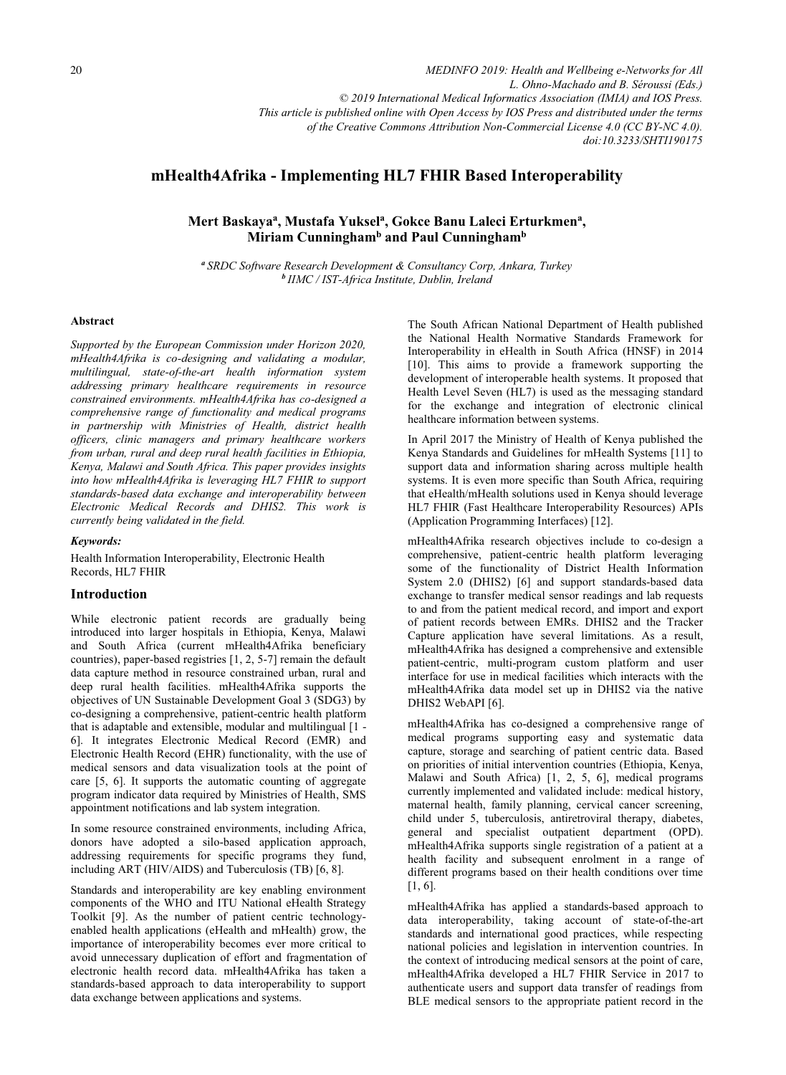*MEDINFO 2019: Health and Wellbeing e-Networks for All L. Ohno-Machado and B. Séroussi (Eds.) © 2019 International Medical Informatics Association (IMIA) and IOS Press. This article is published online with Open Access by IOS Press and distributed under the terms of the Creative Commons Attribution Non-Commercial License 4.0 (CC BY-NC 4.0). doi:10.3233/SHTI190175*

# **mHealth4Afrika - Implementing HL7 FHIR Based Interoperability**

Mert Baskaya<sup>a</sup>, Mustafa Yuksel<sup>a</sup>, Gokce Banu Laleci Erturkmen<sup>a</sup>, **Miriam Cunninghamb and Paul Cunninghamb** 

*<sup>a</sup>SRDC Software Research Development & Consultancy Corp, Ankara, Turkey <sup>b</sup>IIMC / IST-Africa Institute, Dublin, Ireland* 

#### **Abstract**

*Supported by the European Commission under Horizon 2020, mHealth4Afrika is co-designing and validating a modular, multilingual, state-of-the-art health information system addressing primary healthcare requirements in resource constrained environments. mHealth4Afrika has co-designed a comprehensive range of functionality and medical programs in partnership with Ministries of Health, district health officers, clinic managers and primary healthcare workers from urban, rural and deep rural health facilities in Ethiopia, Kenya, Malawi and South Africa. This paper provides insights into how mHealth4Afrika is leveraging HL7 FHIR to support standards-based data exchange and interoperability between Electronic Medical Records and DHIS2. This work is currently being validated in the field.* 

## *Keywords:*

Health Information Interoperability, Electronic Health Records, HL7 FHIR

## **Introduction**

While electronic patient records are gradually being introduced into larger hospitals in Ethiopia, Kenya, Malawi and South Africa (current mHealth4Afrika beneficiary countries), paper-based registries [1, 2, 5-7] remain the default data capture method in resource constrained urban, rural and deep rural health facilities. mHealth4Afrika supports the objectives of UN Sustainable Development Goal 3 (SDG3) by co-designing a comprehensive, patient-centric health platform that is adaptable and extensible, modular and multilingual [1 - 6]. It integrates Electronic Medical Record (EMR) and Electronic Health Record (EHR) functionality, with the use of medical sensors and data visualization tools at the point of care [5, 6]. It supports the automatic counting of aggregate program indicator data required by Ministries of Health, SMS appointment notifications and lab system integration.

In some resource constrained environments, including Africa, donors have adopted a silo-based application approach, addressing requirements for specific programs they fund, including ART (HIV/AIDS) and Tuberculosis (TB) [6, 8].

Standards and interoperability are key enabling environment components of the WHO and ITU National eHealth Strategy Toolkit [9]. As the number of patient centric technologyenabled health applications (eHealth and mHealth) grow, the importance of interoperability becomes ever more critical to avoid unnecessary duplication of effort and fragmentation of electronic health record data. mHealth4Afrika has taken a standards-based approach to data interoperability to support data exchange between applications and systems.

The South African National Department of Health published the National Health Normative Standards Framework for Interoperability in eHealth in South Africa (HNSF) in 2014 [10]. This aims to provide a framework supporting the development of interoperable health systems. It proposed that Health Level Seven (HL7) is used as the messaging standard for the exchange and integration of electronic clinical healthcare information between systems.

In April 2017 the Ministry of Health of Kenya published the Kenya Standards and Guidelines for mHealth Systems [11] to support data and information sharing across multiple health systems. It is even more specific than South Africa, requiring that eHealth/mHealth solutions used in Kenya should leverage HL7 FHIR (Fast Healthcare Interoperability Resources) APIs (Application Programming Interfaces) [12].

mHealth4Afrika research objectives include to co-design a comprehensive, patient-centric health platform leveraging some of the functionality of District Health Information System 2.0 (DHIS2) [6] and support standards-based data exchange to transfer medical sensor readings and lab requests to and from the patient medical record, and import and export of patient records between EMRs. DHIS2 and the Tracker Capture application have several limitations. As a result, mHealth4Afrika has designed a comprehensive and extensible patient-centric, multi-program custom platform and user interface for use in medical facilities which interacts with the mHealth4Afrika data model set up in DHIS2 via the native DHIS2 WebAPI [6].

mHealth4Afrika has co-designed a comprehensive range of medical programs supporting easy and systematic data capture, storage and searching of patient centric data. Based on priorities of initial intervention countries (Ethiopia, Kenya, Malawi and South Africa) [1, 2, 5, 6], medical programs currently implemented and validated include: medical history, maternal health, family planning, cervical cancer screening, child under 5, tuberculosis, antiretroviral therapy, diabetes, general and specialist outpatient department (OPD). mHealth4Afrika supports single registration of a patient at a health facility and subsequent enrolment in a range of different programs based on their health conditions over time [1, 6].

mHealth4Afrika has applied a standards-based approach to data interoperability, taking account of state-of-the-art standards and international good practices, while respecting national policies and legislation in intervention countries. In the context of introducing medical sensors at the point of care, mHealth4Afrika developed a HL7 FHIR Service in 2017 to authenticate users and support data transfer of readings from BLE medical sensors to the appropriate patient record in the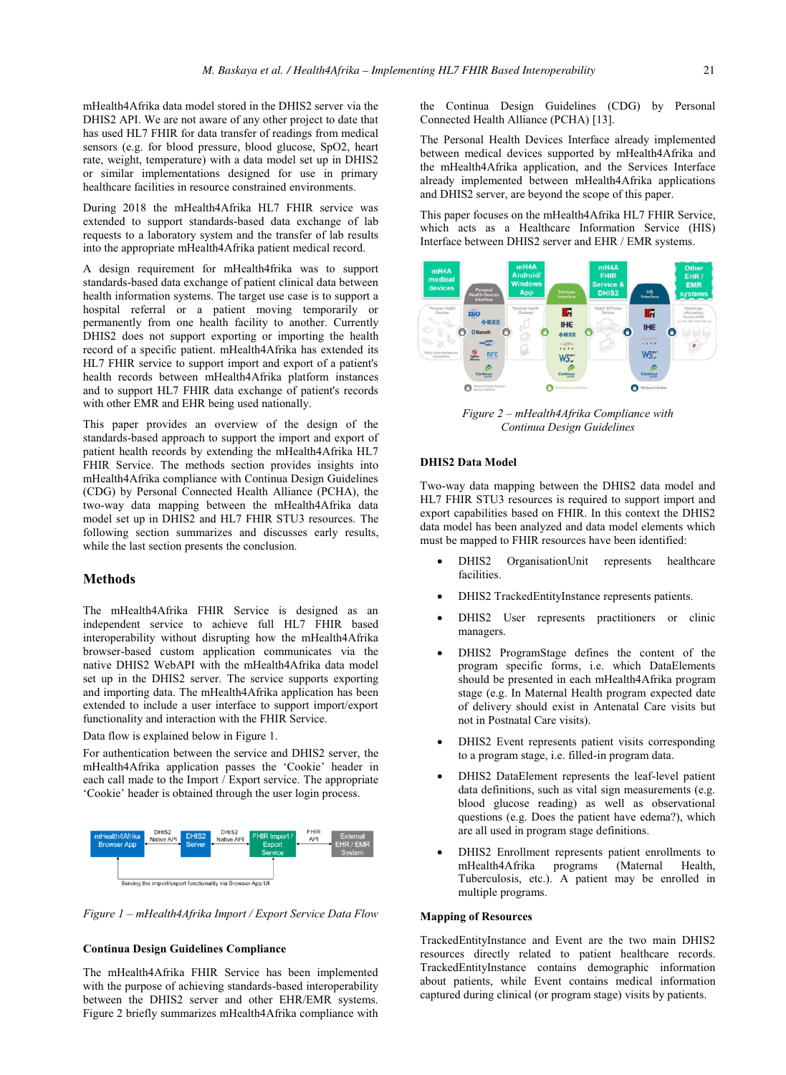mHealth4Afrika data model stored in the DHIS2 server via the DHIS2 API. We are not aware of any other project to date that has used HL7 FHIR for data transfer of readings from medical sensors (e.g. for blood pressure, blood glucose, SpO2, heart rate, weight, temperature) with a data model set up in DHIS2 or similar implementations designed for use in primary healthcare facilities in resource constrained environments.

During 2018 the mHealth4Afrika HL7 FHIR service was extended to support standards-based data exchange of lab requests to a laboratory system and the transfer of lab results into the appropriate mHealth4Afrika patient medical record.

A design requirement for mHealth4frika was to support standards-based data exchange of patient clinical data between health information systems. The target use case is to support a hospital referral or a patient moving temporarily or permanently from one health facility to another. Currently DHIS2 does not support exporting or importing the health record of a specific patient. mHealth4Afrika has extended its HL7 FHIR service to support import and export of a patient's health records between mHealth4Afrika platform instances and to support HL7 FHIR data exchange of patient's records with other EMR and EHR being used nationally.

This paper provides an overview of the design of the standards-based approach to support the import and export of patient health records by extending the mHealth4Afrika HL7 FHIR Service. The methods section provides insights into mHealth4Afrika compliance with Continua Design Guidelines (CDG) by Personal Connected Health Alliance (PCHA), the two-way data mapping between the mHealth4Afrika data model set up in DHIS2 and HL7 FHIR STU3 resources. The following section summarizes and discusses early results, while the last section presents the conclusion.

## **Methods**

The mHealth4Afrika FHIR Service is designed as an independent service to achieve full HL7 FHIR based interoperability without disrupting how the mHealth4Afrika browser-based custom application communicates via the native DHIS2 WebAPI with the mHealth4Afrika data model set up in the DHIS2 server. The service supports exporting and importing data. The mHealth4Afrika application has been extended to include a user interface to support import/export functionality and interaction with the FHIR Service.

## Data flow is explained below in Figure 1.

For authentication between the service and DHIS2 server, the mHealth4Afrika application passes the 'Cookie' header in each call made to the Import / Export service. The appropriate 'Cookie' header is obtained through the user login process.



*Figure 1 – mHealth4Afrika Import / Export Service Data Flow* 

#### **Continua Design Guidelines Compliance**

The mHealth4Afrika FHIR Service has been implemented with the purpose of achieving standards-based interoperability between the DHIS2 server and other EHR/EMR systems. Figure 2 briefly summarizes mHealth4Afrika compliance with

the Continua Design Guidelines (CDG) by Personal Connected Health Alliance (PCHA) [13].

The Personal Health Devices Interface already implemented between medical devices supported by mHealth4Afrika and the mHealth4Afrika application, and the Services Interface already implemented between mHealth4Afrika applications and DHIS2 server, are beyond the scope of this paper.

This paper focuses on the mHealth4Afrika HL7 FHIR Service, which acts as a Healthcare Information Service (HIS) Interface between DHIS2 server and EHR / EMR systems.



*Figure 2 – mHealth4Afrika Compliance with Continua Design Guidelines* 

## **DHIS2 Data Model**

Two-way data mapping between the DHIS2 data model and HL7 FHIR STU3 resources is required to support import and export capabilities based on FHIR. In this context the DHIS2 data model has been analyzed and data model elements which must be mapped to FHIR resources have been identified:

- - DHIS2 OrganisationUnit represents healthcare facilities.
- -DHIS2 TrackedEntityInstance represents patients.
- - DHIS2 User represents practitioners or clinic managers.
- - DHIS2 ProgramStage defines the content of the program specific forms, i.e. which DataElements should be presented in each mHealth4Afrika program stage (e.g. In Maternal Health program expected date of delivery should exist in Antenatal Care visits but not in Postnatal Care visits).
- - DHIS2 Event represents patient visits corresponding to a program stage, i.e. filled-in program data.
- - DHIS2 DataElement represents the leaf-level patient data definitions, such as vital sign measurements (e.g. blood glucose reading) as well as observational questions (e.g. Does the patient have edema?), which are all used in program stage definitions.
- -DHIS2 Enrollment represents patient enrollments to<br>mHealth4Afrika programs (Maternal Health, mHealth4Afrika programs (Maternal Health, Tuberculosis, etc.). A patient may be enrolled in multiple programs.

## **Mapping of Resources**

TrackedEntityInstance and Event are the two main DHIS2 resources directly related to patient healthcare records. TrackedEntityInstance contains demographic information about patients, while Event contains medical information captured during clinical (or program stage) visits by patients.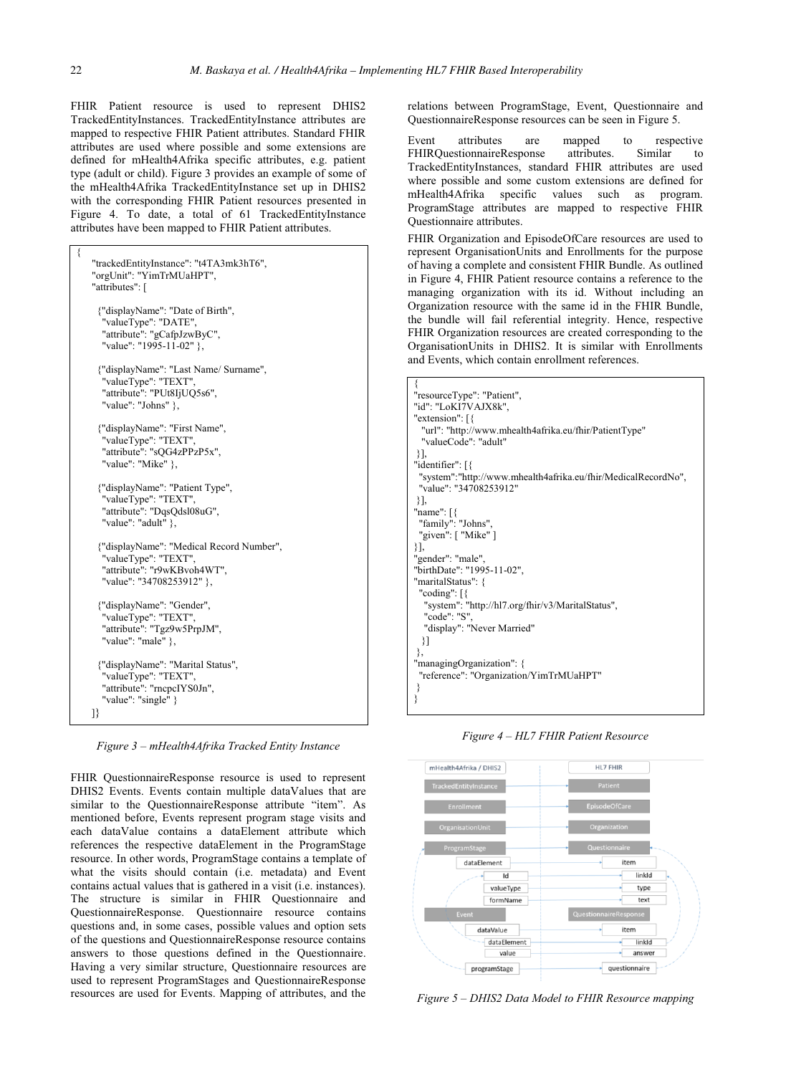FHIR Patient resource is used to represent DHIS2 TrackedEntityInstances. TrackedEntityInstance attributes are mapped to respective FHIR Patient attributes. Standard FHIR attributes are used where possible and some extensions are defined for mHealth4Afrika specific attributes, e.g. patient type (adult or child). Figure 3 provides an example of some of the mHealth4Afrika TrackedEntityInstance set up in DHIS2 with the corresponding FHIR Patient resources presented in Figure 4. To date, a total of 61 TrackedEntityInstance attributes have been mapped to FHIR Patient attributes.

```
{ 
   "trackedEntityInstance": "t4TA3mk3hT6", 
   "orgUnit": "YimTrMUaHPT", 
   "attributes": [ 
    {"displayName": "Date of Birth", 
      "valueType": "DATE", 
      "attribute": "gCafpJzwByC", 
      "value": "1995-11-02" }, 
    {"displayName": "Last Name/ Surname", 
      "valueType": "TEXT", 
      "attribute": "PUt8IjUQ5s6", 
     "value": "Johns" },
    {"displayName": "First Name", 
      "valueType": "TEXT", 
      "attribute": "sQG4zPPzP5x", 
      "value": "Mike" }, 
    {"displayName": "Patient Type", 
      "valueType": "TEXT", 
      "attribute": "DqsQdsl08uG", 
      "value": "adult" }, 
    {"displayName": "Medical Record Number", 
      "valueType": "TEXT", 
      "attribute": "r9wKBvoh4WT", 
      "value": "34708253912" }, 
    {"displayName": "Gender", 
"valueType": "TEXT", 
"attribute": "Tgz9w5PrpJM", 
     "value": "male" },
    {"displayName": "Marital Status", 
      "valueType": "TEXT", 
      "attribute": "rncpcIYS0Jn", 
      "value": "single" } 
   ]}
```
*Figure 3 – mHealth4Afrika Tracked Entity Instance* 

FHIR QuestionnaireResponse resource is used to represent DHIS2 Events. Events contain multiple dataValues that are similar to the QuestionnaireResponse attribute "item". As mentioned before, Events represent program stage visits and each dataValue contains a dataElement attribute which references the respective dataElement in the ProgramStage resource. In other words, ProgramStage contains a template of what the visits should contain (i.e. metadata) and Event contains actual values that is gathered in a visit (i.e. instances). The structure is similar in FHIR Questionnaire and QuestionnaireResponse. Questionnaire resource contains questions and, in some cases, possible values and option sets of the questions and QuestionnaireResponse resource contains answers to those questions defined in the Questionnaire. Having a very similar structure, Questionnaire resources are used to represent ProgramStages and QuestionnaireResponse resources are used for Events. Mapping of attributes, and the

relations between ProgramStage, Event, Questionnaire and QuestionnaireResponse resources can be seen in Figure 5.

Event attributes are mapped to respective<br>FHIROuestionnaireResponse attributes. Similar to FHIRQuestionnaireResponse TrackedEntityInstances, standard FHIR attributes are used where possible and some custom extensions are defined for mHealth4Afrika specific values such as program. mHealth4Afrika specific values such as ProgramStage attributes are mapped to respective FHIR Questionnaire attributes.

FHIR Organization and EpisodeOfCare resources are used to represent OrganisationUnits and Enrollments for the purpose of having a complete and consistent FHIR Bundle. As outlined in Figure 4, FHIR Patient resource contains a reference to the managing organization with its id. Without including an Organization resource with the same id in the FHIR Bundle, the bundle will fail referential integrity. Hence, respective FHIR Organization resources are created corresponding to the OrganisationUnits in DHIS2. It is similar with Enrollments and Events, which contain enrollment references.

| "resourceType": "Patient",                                    |
|---------------------------------------------------------------|
| "id": "LoKI7VAJX8k",                                          |
| "extension": $\lceil \frac{1}{2} \rceil$                      |
| "url": "http://www.mhealth4afrika.eu/fhir/PatientType"        |
| "valueCode": "adult"                                          |
| 11.                                                           |
| "identifier": [{                                              |
| "system":"http://www.mhealth4afrika.eu/fhir/MedicalRecordNo", |
| "value": "34708253912"                                        |
| ₹1,                                                           |
| "name": $\lceil \frac{1}{2} \rceil$                           |
| "family": "Johns",                                            |
| "given": [ "Mike" ]                                           |
| 31,                                                           |
| "gender": "male",                                             |
| "birthDate": "1995-11-02",                                    |
| "maritalStatus": {                                            |
| "coding": $\lceil \frac{1}{2} \rceil$                         |
| "system": "http://hl7.org/fhir/v3/MaritalStatus",             |
| "code": "S",                                                  |
| "display": "Never Married"                                    |
| 31                                                            |
| ₹,                                                            |
| "managingOrganization": {                                     |
| "reference": "Organization/YimTrMUaHPT"                       |
|                                                               |
|                                                               |

*Figure 4 – HL7 FHIR Patient Resource* 



*Figure 5 – DHIS2 Data Model to FHIR Resource mapping*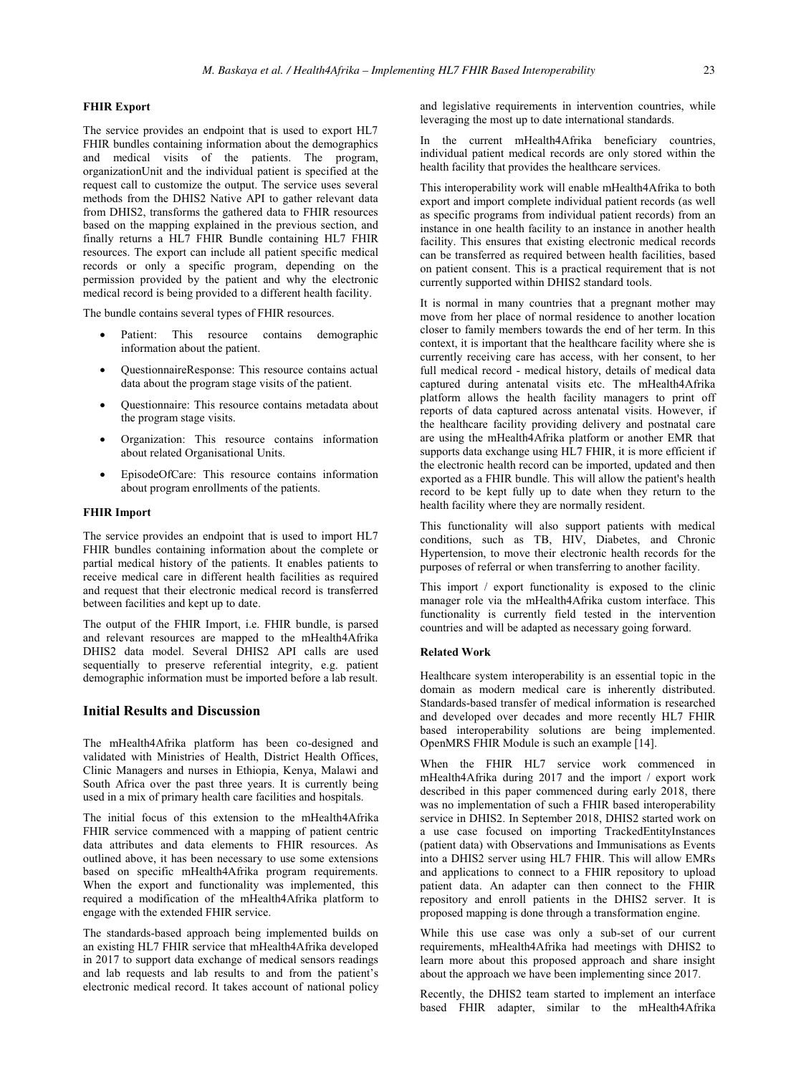#### **FHIR Export**

The service provides an endpoint that is used to export HL7 FHIR bundles containing information about the demographics and medical visits of the patients. The program, organizationUnit and the individual patient is specified at the request call to customize the output. The service uses several methods from the DHIS2 Native API to gather relevant data from DHIS2, transforms the gathered data to FHIR resources based on the mapping explained in the previous section, and finally returns a HL7 FHIR Bundle containing HL7 FHIR resources. The export can include all patient specific medical records or only a specific program, depending on the permission provided by the patient and why the electronic medical record is being provided to a different health facility.

The bundle contains several types of FHIR resources.

- - Patient: This resource contains demographic information about the patient.
- - QuestionnaireResponse: This resource contains actual data about the program stage visits of the patient.
- - Questionnaire: This resource contains metadata about the program stage visits.
- - Organization: This resource contains information about related Organisational Units.
- - EpisodeOfCare: This resource contains information about program enrollments of the patients.

### **FHIR Import**

The service provides an endpoint that is used to import HL7 FHIR bundles containing information about the complete or partial medical history of the patients. It enables patients to receive medical care in different health facilities as required and request that their electronic medical record is transferred between facilities and kept up to date.

The output of the FHIR Import, i.e. FHIR bundle, is parsed and relevant resources are mapped to the mHealth4Afrika DHIS2 data model. Several DHIS2 API calls are used sequentially to preserve referential integrity, e.g. patient demographic information must be imported before a lab result.

## **Initial Results and Discussion**

The mHealth4Afrika platform has been co-designed and validated with Ministries of Health, District Health Offices, Clinic Managers and nurses in Ethiopia, Kenya, Malawi and South Africa over the past three years. It is currently being used in a mix of primary health care facilities and hospitals.

The initial focus of this extension to the mHealth4Afrika FHIR service commenced with a mapping of patient centric data attributes and data elements to FHIR resources. As outlined above, it has been necessary to use some extensions based on specific mHealth4Afrika program requirements. When the export and functionality was implemented, this required a modification of the mHealth4Afrika platform to engage with the extended FHIR service.

The standards-based approach being implemented builds on an existing HL7 FHIR service that mHealth4Afrika developed in 2017 to support data exchange of medical sensors readings and lab requests and lab results to and from the patient's electronic medical record. It takes account of national policy

and legislative requirements in intervention countries, while leveraging the most up to date international standards.

In the current mHealth4Afrika beneficiary countries, individual patient medical records are only stored within the health facility that provides the healthcare services.

This interoperability work will enable mHealth4Afrika to both export and import complete individual patient records (as well as specific programs from individual patient records) from an instance in one health facility to an instance in another health facility. This ensures that existing electronic medical records can be transferred as required between health facilities, based on patient consent. This is a practical requirement that is not currently supported within DHIS2 standard tools.

It is normal in many countries that a pregnant mother may move from her place of normal residence to another location closer to family members towards the end of her term. In this context, it is important that the healthcare facility where she is currently receiving care has access, with her consent, to her full medical record - medical history, details of medical data captured during antenatal visits etc. The mHealth4Afrika platform allows the health facility managers to print off reports of data captured across antenatal visits. However, if the healthcare facility providing delivery and postnatal care are using the mHealth4Afrika platform or another EMR that supports data exchange using HL7 FHIR, it is more efficient if the electronic health record can be imported, updated and then exported as a FHIR bundle. This will allow the patient's health record to be kept fully up to date when they return to the health facility where they are normally resident.

This functionality will also support patients with medical conditions, such as TB, HIV, Diabetes, and Chronic Hypertension, to move their electronic health records for the purposes of referral or when transferring to another facility.

This import / export functionality is exposed to the clinic manager role via the mHealth4Afrika custom interface. This functionality is currently field tested in the intervention countries and will be adapted as necessary going forward.

## **Related Work**

Healthcare system interoperability is an essential topic in the domain as modern medical care is inherently distributed. Standards-based transfer of medical information is researched and developed over decades and more recently HL7 FHIR based interoperability solutions are being implemented. OpenMRS FHIR Module is such an example [14].

When the FHIR HL7 service work commenced in mHealth4Afrika during 2017 and the import / export work described in this paper commenced during early 2018, there was no implementation of such a FHIR based interoperability service in DHIS2. In September 2018, DHIS2 started work on a use case focused on importing TrackedEntityInstances (patient data) with Observations and Immunisations as Events into a DHIS2 server using HL7 FHIR. This will allow EMRs and applications to connect to a FHIR repository to upload patient data. An adapter can then connect to the FHIR repository and enroll patients in the DHIS2 server. It is proposed mapping is done through a transformation engine.

While this use case was only a sub-set of our current requirements, mHealth4Afrika had meetings with DHIS2 to learn more about this proposed approach and share insight about the approach we have been implementing since 2017.

Recently, the DHIS2 team started to implement an interface based FHIR adapter, similar to the mHealth4Afrika